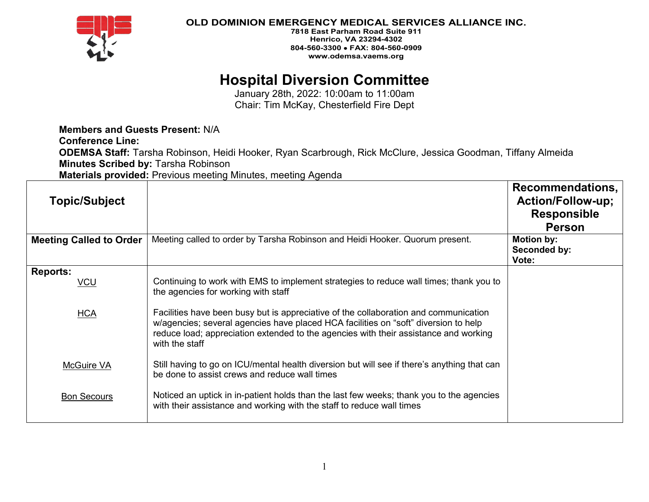

## **OLD DOMINION EMERGENCY MEDICAL SERVICES ALLIANCE INC.**

**7818 East Parham Road Suite 911 Henrico, VA 23294-4302 804-560-3300** • **FAX: 804-560-0909 www.odemsa.vaems.org**

# **Hospital Diversion Committee**

January 28th, 2022: 10:00am to 11:00am Chair: Tim McKay, Chesterfield Fire Dept

**Members and Guests Present:** N/A

**Conference Line:**

**ODEMSA Staff:** Tarsha Robinson, Heidi Hooker, Ryan Scarbrough, Rick McClure, Jessica Goodman, Tiffany Almeida **Minutes Scribed by:** Tarsha Robinson

**Materials provided:** Previous meeting Minutes, meeting Agenda

| <b>Topic/Subject</b>           |                                                                                                                                                                                                                                                                                       | Recommendations,<br><b>Action/Follow-up;</b><br><b>Responsible</b><br><b>Person</b> |
|--------------------------------|---------------------------------------------------------------------------------------------------------------------------------------------------------------------------------------------------------------------------------------------------------------------------------------|-------------------------------------------------------------------------------------|
| <b>Meeting Called to Order</b> | Meeting called to order by Tarsha Robinson and Heidi Hooker. Quorum present.                                                                                                                                                                                                          | Motion by:<br>Seconded by:<br>Vote:                                                 |
| <b>Reports:</b><br><u>VCU</u>  | Continuing to work with EMS to implement strategies to reduce wall times; thank you to<br>the agencies for working with staff                                                                                                                                                         |                                                                                     |
| <b>HCA</b>                     | Facilities have been busy but is appreciative of the collaboration and communication<br>w/agencies; several agencies have placed HCA facilities on "soft" diversion to help<br>reduce load; appreciation extended to the agencies with their assistance and working<br>with the staff |                                                                                     |
| McGuire VA                     | Still having to go on ICU/mental health diversion but will see if there's anything that can<br>be done to assist crews and reduce wall times                                                                                                                                          |                                                                                     |
| <b>Bon Secours</b>             | Noticed an uptick in in-patient holds than the last few weeks; thank you to the agencies<br>with their assistance and working with the staff to reduce wall times                                                                                                                     |                                                                                     |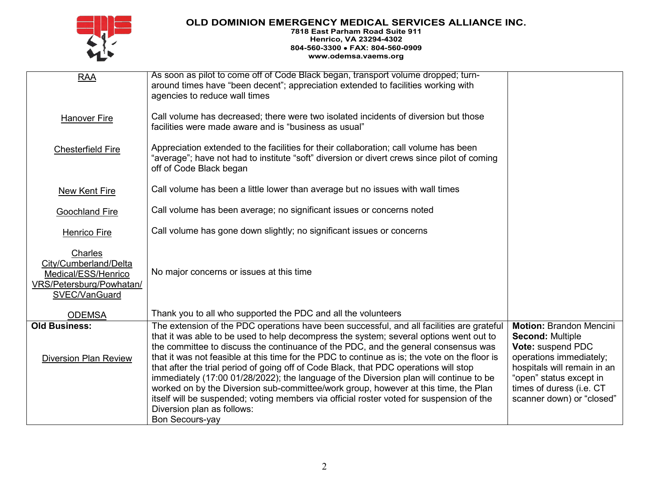# **OLD DOMINION EMERGENCY MEDICAL SERVICES ALLIANCE INC.**

#### **7818 East Parham Road Suite 911 Henrico, VA 23294-4302 804-560-3300** • **FAX: 804-560-0909 www.odemsa.vaems.org**

| <b>RAA</b>                                                                                           | As soon as pilot to come off of Code Black began, transport volume dropped; turn-<br>around times have "been decent"; appreciation extended to facilities working with<br>agencies to reduce wall times                                                                                                                                                                                                                                                                                                                                                                                                                                                                                                                                                                        |                                                                                                                                                                                                                              |
|------------------------------------------------------------------------------------------------------|--------------------------------------------------------------------------------------------------------------------------------------------------------------------------------------------------------------------------------------------------------------------------------------------------------------------------------------------------------------------------------------------------------------------------------------------------------------------------------------------------------------------------------------------------------------------------------------------------------------------------------------------------------------------------------------------------------------------------------------------------------------------------------|------------------------------------------------------------------------------------------------------------------------------------------------------------------------------------------------------------------------------|
| <b>Hanover Fire</b>                                                                                  | Call volume has decreased; there were two isolated incidents of diversion but those<br>facilities were made aware and is "business as usual"                                                                                                                                                                                                                                                                                                                                                                                                                                                                                                                                                                                                                                   |                                                                                                                                                                                                                              |
| <b>Chesterfield Fire</b>                                                                             | Appreciation extended to the facilities for their collaboration; call volume has been<br>"average"; have not had to institute "soft" diversion or divert crews since pilot of coming<br>off of Code Black began                                                                                                                                                                                                                                                                                                                                                                                                                                                                                                                                                                |                                                                                                                                                                                                                              |
| <b>New Kent Fire</b>                                                                                 | Call volume has been a little lower than average but no issues with wall times                                                                                                                                                                                                                                                                                                                                                                                                                                                                                                                                                                                                                                                                                                 |                                                                                                                                                                                                                              |
| <b>Goochland Fire</b>                                                                                | Call volume has been average; no significant issues or concerns noted                                                                                                                                                                                                                                                                                                                                                                                                                                                                                                                                                                                                                                                                                                          |                                                                                                                                                                                                                              |
| Henrico Fire                                                                                         | Call volume has gone down slightly; no significant issues or concerns                                                                                                                                                                                                                                                                                                                                                                                                                                                                                                                                                                                                                                                                                                          |                                                                                                                                                                                                                              |
| Charles<br>City/Cumberland/Delta<br>Medical/ESS/Henrico<br>VRS/Petersburg/Powhatan/<br>SVEC/VanGuard | No major concerns or issues at this time                                                                                                                                                                                                                                                                                                                                                                                                                                                                                                                                                                                                                                                                                                                                       |                                                                                                                                                                                                                              |
| <b>ODEMSA</b>                                                                                        | Thank you to all who supported the PDC and all the volunteers                                                                                                                                                                                                                                                                                                                                                                                                                                                                                                                                                                                                                                                                                                                  |                                                                                                                                                                                                                              |
| <b>Old Business:</b><br><b>Diversion Plan Review</b>                                                 | The extension of the PDC operations have been successful, and all facilities are grateful<br>that it was able to be used to help decompress the system; several options went out to<br>the committee to discuss the continuance of the PDC, and the general consensus was<br>that it was not feasible at this time for the PDC to continue as is; the vote on the floor is<br>that after the trial period of going off of Code Black, that PDC operations will stop<br>immediately (17:00 01/28/2022); the language of the Diversion plan will continue to be<br>worked on by the Diversion sub-committee/work group, however at this time, the Plan<br>itself will be suspended; voting members via official roster voted for suspension of the<br>Diversion plan as follows: | <b>Motion: Brandon Mencini</b><br><b>Second: Multiple</b><br>Vote: suspend PDC<br>operations immediately;<br>hospitals will remain in an<br>"open" status except in<br>times of duress (i.e. CT<br>scanner down) or "closed" |
|                                                                                                      | <b>Bon Secours-yay</b>                                                                                                                                                                                                                                                                                                                                                                                                                                                                                                                                                                                                                                                                                                                                                         |                                                                                                                                                                                                                              |